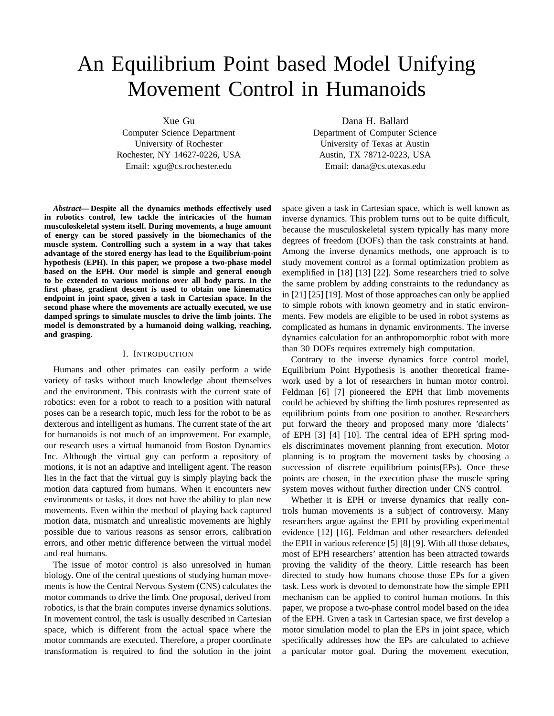# An Equilibrium Point based Model Unifying Movement Control in Humanoids

Xue Gu

Computer Science Department University of Rochester Rochester, NY 14627-0226, USA Email: xgu@cs.rochester.edu

*Abstract***— Despite all the dynamics methods effectively used in robotics control, few tackle the intricacies of the human musculoskeletal system itself. During movements, a huge amount of energy can be stored passively in the biomechanics of the muscle system. Controlling such a system in a way that takes advantage of the stored energy has lead to the Equilibrium-point hypothesis (EPH). In this paper, we propose a two-phase model based on the EPH. Our model is simple and general enough to be extended to various motions over all body parts. In the first phase, gradient descent is used to obtain one kinematics endpoint in joint space, given a task in Cartesian space. In the second phase where the movements are actually executed, we use damped springs to simulate muscles to drive the limb joints. The model is demonstrated by a humanoid doing walking, reaching, and grasping.**

## I. INTRODUCTION

Humans and other primates can easily perform a wide variety of tasks without much knowledge about themselves and the environment. This contrasts with the current state of robotics: even for a robot to reach to a position with natural poses can be a research topic, much less for the robot to be as dexterous and intelligent as humans. The current state of the art for humanoids is not much of an improvement. For example, our research uses a virtual humanoid from Boston Dynamics Inc. Although the virtual guy can perform a repository of motions, it is not an adaptive and intelligent agent. The reason lies in the fact that the virtual guy is simply playing back the motion data captured from humans. When it encounters new environments or tasks, it does not have the ability to plan new movements. Even within the method of playing back captured motion data, mismatch and unrealistic movements are highly possible due to various reasons as sensor errors, calibration errors, and other metric difference between the virtual model and real humans.

The issue of motor control is also unresolved in human biology. One of the central questions of studying human movements is how the Central Nervous System (CNS) calculates the motor commands to drive the limb. One proposal, derived from robotics, is that the brain computes inverse dynamics solutions. In movement control, the task is usually described in Cartesian space, which is different from the actual space where the motor commands are executed. Therefore, a proper coordinate transformation is required to find the solution in the joint Dana H. Ballard

Department of Computer Science University of Texas at Austin Austin, TX 78712-0223, USA Email: dana@cs.utexas.edu

space given a task in Cartesian space, which is well known as inverse dynamics. This problem turns out to be quite difficult, because the musculoskeletal system typically has many more degrees of freedom (DOFs) than the task constraints at hand. Among the inverse dynamics methods, one approach is to study movement control as a formal optimization problem as exemplified in [18] [13] [22]. Some researchers tried to solve the same problem by adding constraints to the redundancy as in [21] [25] [19]. Most of those approaches can only be applied to simple robots with known geometry and in static environments. Few models are eligible to be used in robot systems as complicated as humans in dynamic environments. The inverse dynamics calculation for an anthropomorphic robot with more than 30 DOFs requires extremely high computation.

Contrary to the inverse dynamics force control model, Equilibrium Point Hypothesis is another theoretical framework used by a lot of researchers in human motor control. Feldman [6] [7] pioneered the EPH that limb movements could be achieved by shifting the limb postures represented as equilibrium points from one position to another. Researchers put forward the theory and proposed many more 'dialects' of EPH [3] [4] [10]. The central idea of EPH spring models discriminates movement planning from execution. Motor planning is to program the movement tasks by choosing a succession of discrete equilibrium points(EPs). Once these points are chosen, in the execution phase the muscle spring system moves without further direction under CNS control.

Whether it is EPH or inverse dynamics that really controls human movements is a subject of controversy. Many researchers argue against the EPH by providing experimental evidence [12] [16]. Feldman and other researchers defended the EPH in various reference [5] [8] [9]. With all those debates, most of EPH researchers' attention has been attracted towards proving the validity of the theory. Little research has been directed to study how humans choose those EPs for a given task. Less work is devoted to demonstrate how the simple EPH mechanism can be applied to control human motions. In this paper, we propose a two-phase control model based on the idea of the EPH. Given a task in Cartesian space, we first develop a motor simulation model to plan the EPs in joint space, which specifically addresses how the EPs are calculated to achieve a particular motor goal. During the movement execution,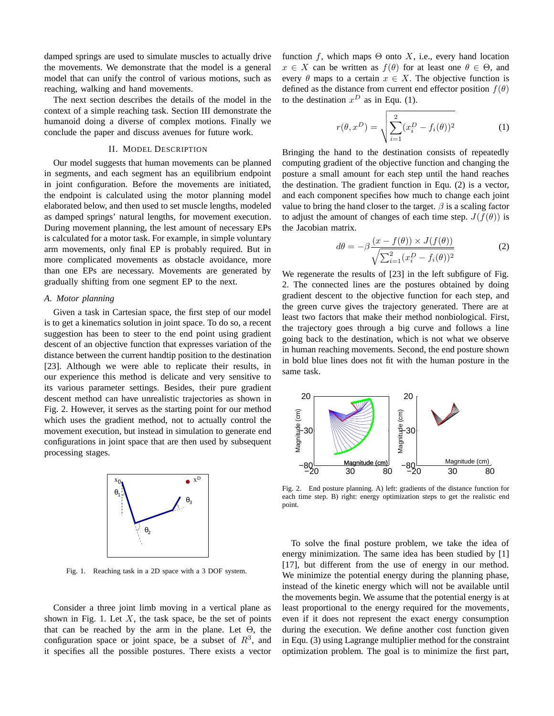damped springs are used to simulate muscles to actually drive the movements. We demonstrate that the model is a general model that can unify the control of various motions, such as reaching, walking and hand movements.

The next section describes the details of the model in the context of a simple reaching task. Section III demonstrate the humanoid doing a diverse of complex motions. Finally we conclude the paper and discuss avenues for future work.

# II. MODEL DESCRIPTION

Our model suggests that human movements can be planned in segments, and each segment has an equilibrium endpoint in joint configuration. Before the movements are initiated, the endpoint is calculated using the motor planning model elaborated below, and then used to set muscle lengths, modeled as damped springs' natural lengths, for movement execution. During movement planning, the lest amount of necessary EPs is calculated for a motor task. For example, in simple voluntary arm movements, only final EP is probably required. But in more complicated movements as obstacle avoidance, more than one EPs are necessary. Movements are generated by gradually shifting from one segment EP to the next.

## *A. Motor planning*

Given a task in Cartesian space, the first step of our model is to get a kinematics solution in joint space. To do so, a recent suggestion has been to steer to the end point using gradient descent of an objective function that expresses variation of the distance between the current handtip position to the destination [23]. Although we were able to replicate their results, in our experience this method is delicate and very sensitive to its various parameter settings. Besides, their pure gradient descent method can have unrealistic trajectories as shown in Fig. 2. However, it serves as the starting point for our method which uses the gradient method, not to actually control the movement execution, but instead in simulation to generate end configurations in joint space that are then used by subsequent processing stages.



Fig. 1. Reaching task in a 2D space with a 3 DOF system.

Consider a three joint limb moving in a vertical plane as shown in Fig. 1. Let  $X$ , the task space, be the set of points that can be reached by the arm in the plane. Let  $\Theta$ , the configuration space or joint space, be a subset of  $R<sup>3</sup>$ , and it specifies all the possible postures. There exists a vector function f, which maps  $\Theta$  onto X, i.e., every hand location  $x \in X$  can be written as  $f(\theta)$  for at least one  $\theta \in \Theta$ , and every  $\theta$  maps to a certain  $x \in X$ . The objective function is defined as the distance from current end effector position  $f(\theta)$ to the destination  $x^D$  as in Equ. (1).

$$
r(\theta, x^D) = \sqrt{\sum_{i=1}^{2} (x_i^D - f_i(\theta))^2}
$$
 (1)

Bringing the hand to the destination consists of repeatedly computing gradient of the objective function and changing the posture a small amount for each step until the hand reaches the destination. The gradient function in Equ. (2) is a vector, and each component specifies how much to change each joint value to bring the hand closer to the target.  $\beta$  is a scaling factor to adjust the amount of changes of each time step.  $J(f(\theta))$  is the Jacobian matrix.

$$
d\theta = -\beta \frac{(x - f(\theta)) \times J(f(\theta))}{\sqrt{\sum_{i=1}^{2} (x_i^D - f_i(\theta))^2}}
$$
(2)

We regenerate the results of [23] in the left subfigure of Fig. 2. The connected lines are the postures obtained by doing gradient descent to the objective function for each step, and the green curve gives the trajectory generated. There are at least two factors that make their method nonbiological. First, the trajectory goes through a big curve and follows a line going back to the destination, which is not what we observe in human reaching movements. Second, the end posture shown in bold blue lines does not fit with the human posture in the same task.



Fig. 2. End posture planning. A) left: gradients of the distance function for each time step. B) right: energy optimization steps to get the realistic end point.

To solve the final posture problem, we take the idea of energy minimization. The same idea has been studied by [1] [17], but different from the use of energy in our method. We minimize the potential energy during the planning phase, instead of the kinetic energy which will not be available until the movements begin. We assume that the potential energy is at least proportional to the energy required for the movements, even if it does not represent the exact energy consumption during the execution. We define another cost function given in Equ. (3) using Lagrange multiplier method for the constraint optimization problem. The goal is to minimize the first part,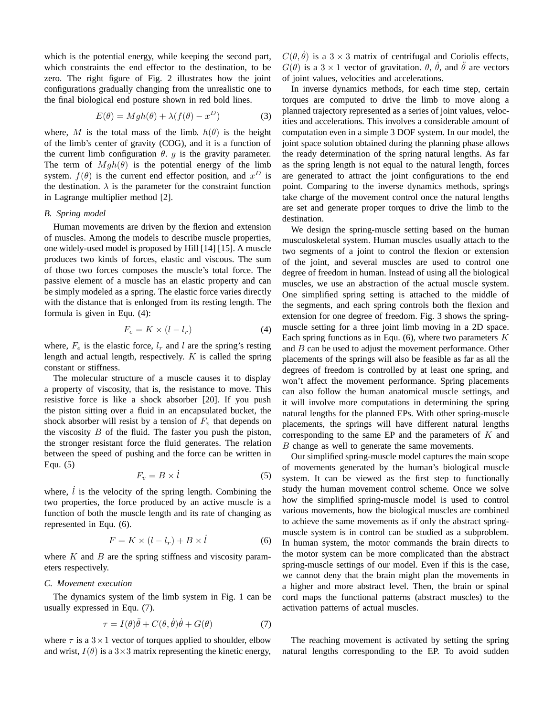which is the potential energy, while keeping the second part, which constraints the end effector to the destination, to be zero. The right figure of Fig. 2 illustrates how the joint configurations gradually changing from the unrealistic one to the final biological end posture shown in red bold lines.

$$
E(\theta) = Mgh(\theta) + \lambda (f(\theta) - x^D)
$$
 (3)

where, M is the total mass of the limb.  $h(\theta)$  is the height of the limb's center of gravity (COG), and it is a function of the current limb configuration  $\theta$ . g is the gravity parameter. The term of  $Mgh(\theta)$  is the potential energy of the limb system.  $f(\theta)$  is the current end effector position, and  $x^D$  is the destination.  $\lambda$  is the parameter for the constraint function in Lagrange multiplier method [2].

## *B. Spring model*

Human movements are driven by the flexion and extension of muscles. Among the models to describe muscle properties, one widely-used model is proposed by Hill [14] [15]. A muscle produces two kinds of forces, elastic and viscous. The sum of those two forces composes the muscle's total force. The passive element of a muscle has an elastic property and can be simply modeled as a spring. The elastic force varies directly with the distance that is enlonged from its resting length. The formula is given in Equ. (4):

$$
F_e = K \times (l - l_r) \tag{4}
$$

where,  $F_e$  is the elastic force,  $l_r$  and l are the spring's resting length and actual length, respectively.  $K$  is called the spring constant or stiffness.

The molecular structure of a muscle causes it to display a property of viscosity, that is, the resistance to move. This resistive force is like a shock absorber [20]. If you push the piston sitting over a fluid in an encapsulated bucket, the shock absorber will resist by a tension of  $F_v$  that depends on the viscosity  $B$  of the fluid. The faster you push the piston, the stronger resistant force the fluid generates. The relation between the speed of pushing and the force can be written in Equ. (5)

$$
F_v = B \times \dot{l} \tag{5}
$$

where,  $\dot{l}$  is the velocity of the spring length. Combining the two properties, the force produced by an active muscle is a function of both the muscle length and its rate of changing as represented in Equ. (6).

$$
F = K \times (l - l_r) + B \times \dot{l} \tag{6}
$$

where  $K$  and  $B$  are the spring stiffness and viscosity parameters respectively.

### *C. Movement execution*

The dynamics system of the limb system in Fig. 1 can be usually expressed in Equ. (7).

$$
\tau = I(\theta)\ddot{\theta} + C(\theta, \dot{\theta})\dot{\theta} + G(\theta) \tag{7}
$$

where  $\tau$  is a  $3 \times 1$  vector of torques applied to shoulder, elbow and wrist,  $I(\theta)$  is a 3×3 matrix representing the kinetic energy,  $C(\theta, \dot{\theta})$  is a 3 × 3 matrix of centrifugal and Coriolis effects,  $G(\theta)$  is a 3 × 1 vector of gravitation.  $\theta$ ,  $\dot{\theta}$ , and  $\ddot{\theta}$  are vectors of joint values, velocities and accelerations.

In inverse dynamics methods, for each time step, certain torques are computed to drive the limb to move along a planned trajectory represented as a series of joint values, velocities and accelerations. This involves a considerable amount of computation even in a simple 3 DOF system. In our model, the joint space solution obtained during the planning phase allows the ready determination of the spring natural lengths. As far as the spring length is not equal to the natural length, forces are generated to attract the joint configurations to the end point. Comparing to the inverse dynamics methods, springs take charge of the movement control once the natural lengths are set and generate proper torques to drive the limb to the destination.

We design the spring-muscle setting based on the human musculoskeletal system. Human muscles usually attach to the two segments of a joint to control the flexion or extension of the joint, and several muscles are used to control one degree of freedom in human. Instead of using all the biological muscles, we use an abstraction of the actual muscle system. One simplified spring setting is attached to the middle of the segments, and each spring controls both the flexion and extension for one degree of freedom. Fig. 3 shows the springmuscle setting for a three joint limb moving in a 2D space. Each spring functions as in Equ.  $(6)$ , where two parameters K and  $B$  can be used to adjust the movement performance. Other placements of the springs will also be feasible as far as all the degrees of freedom is controlled by at least one spring, and won't affect the movement performance. Spring placements can also follow the human anatomical muscle settings, and it will involve more computations in determining the spring natural lengths for the planned EPs. With other spring-muscle placements, the springs will have different natural lengths corresponding to the same EP and the parameters of  $K$  and B change as well to generate the same movements.

Our simplified spring-muscle model captures the main scope of movements generated by the human's biological muscle system. It can be viewed as the first step to functionally study the human movement control scheme. Once we solve how the simplified spring-muscle model is used to control various movements, how the biological muscles are combined to achieve the same movements as if only the abstract springmuscle system is in control can be studied as a subproblem. In human system, the motor commands the brain directs to the motor system can be more complicated than the abstract spring-muscle settings of our model. Even if this is the case, we cannot deny that the brain might plan the movements in a higher and more abstract level. Then, the brain or spinal cord maps the functional patterns (abstract muscles) to the activation patterns of actual muscles.

The reaching movement is activated by setting the spring natural lengths corresponding to the EP. To avoid sudden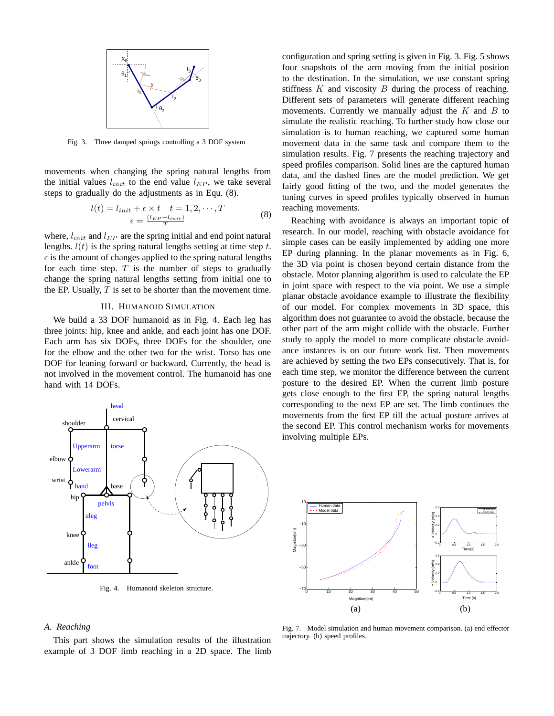

Fig. 3. Three damped springs controlling a 3 DOF system

movements when changing the spring natural lengths from the initial values  $l_{init}$  to the end value  $l_{EP}$ , we take several steps to gradually do the adjustments as in Equ. (8).

$$
l(t) = l_{init} + \epsilon \times t \quad t = 1, 2, \cdots, T
$$

$$
\epsilon = \frac{(l_{EP} - l_{init})}{T}
$$
 (8)

where,  $l_{init}$  and  $l_{EP}$  are the spring initial and end point natural lengths.  $l(t)$  is the spring natural lengths setting at time step t.  $\epsilon$  is the amount of changes applied to the spring natural lengths for each time step.  $T$  is the number of steps to gradually change the spring natural lengths setting from initial one to the EP. Usually,  $T$  is set to be shorter than the movement time.

## III. HUMANOID SIMULATION

We build a 33 DOF humanoid as in Fig. 4. Each leg has three joints: hip, knee and ankle, and each joint has one DOF. Each arm has six DOFs, three DOFs for the shoulder, one for the elbow and the other two for the wrist. Torso has one DOF for leaning forward or backward. Currently, the head is not involved in the movement control. The humanoid has one hand with 14 DOFs.



Fig. 4. Humanoid skeleton structure.

configuration and spring setting is given in Fig. 3. Fig. 5 shows four snapshots of the arm moving from the initial position to the destination. In the simulation, we use constant spring stiffness  $K$  and viscosity  $B$  during the process of reaching. Different sets of parameters will generate different reaching movements. Currently we manually adjust the  $K$  and  $B$  to simulate the realistic reaching. To further study how close our simulation is to human reaching, we captured some human movement data in the same task and compare them to the simulation results. Fig. 7 presents the reaching trajectory and speed profiles comparison. Solid lines are the captured human data, and the dashed lines are the model prediction. We get fairly good fitting of the two, and the model generates the tuning curves in speed profiles typically observed in human reaching movements.

Reaching with avoidance is always an important topic of research. In our model, reaching with obstacle avoidance for simple cases can be easily implemented by adding one more EP during planning. In the planar movements as in Fig. 6, the 3D via point is chosen beyond certain distance from the obstacle. Motor planning algorithm is used to calculate the EP in joint space with respect to the via point. We use a simple planar obstacle avoidance example to illustrate the flexibility of our model. For complex movements in 3D space, this algorithm does not guarantee to avoid the obstacle, because the other part of the arm might collide with the obstacle. Further study to apply the model to more complicate obstacle avoidance instances is on our future work list. Then movements are achieved by setting the two EPs consecutively. That is, for each time step, we monitor the difference between the current posture to the desired EP. When the current limb posture gets close enough to the first EP, the spring natural lengths corresponding to the next EP are set. The limb continues the movements from the first EP till the actual posture arrives at the second EP. This control mechanism works for movements involving multiple EPs.



# *A. Reaching*

This part shows the simulation results of the illustration example of 3 DOF limb reaching in a 2D space. The limb

Fig. 7. Model simulation and human movement comparison. (a) end effector trajectory. (b) speed profiles.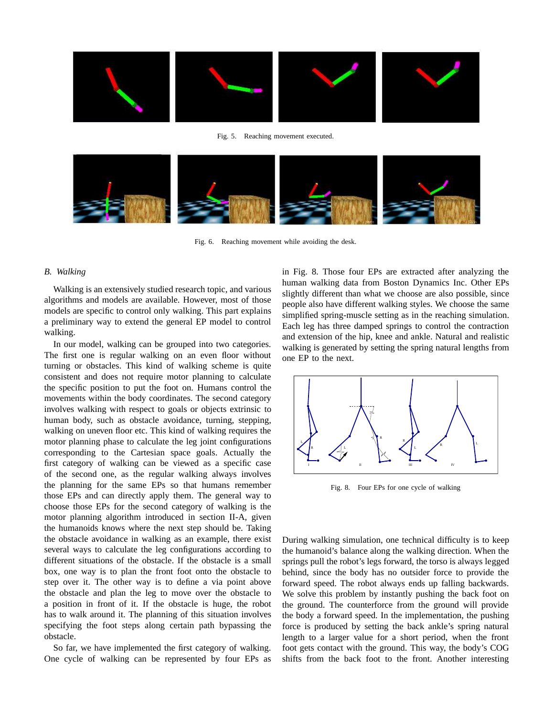

Fig. 5. Reaching movement executed.



Fig. 6. Reaching movement while avoiding the desk.

### *B. Walking*

Walking is an extensively studied research topic, and various algorithms and models are available. However, most of those models are specific to control only walking. This part explains a preliminary way to extend the general EP model to control walking.

In our model, walking can be grouped into two categories. The first one is regular walking on an even floor without turning or obstacles. This kind of walking scheme is quite consistent and does not require motor planning to calculate the specific position to put the foot on. Humans control the movements within the body coordinates. The second category involves walking with respect to goals or objects extrinsic to human body, such as obstacle avoidance, turning, stepping, walking on uneven floor etc. This kind of walking requires the motor planning phase to calculate the leg joint configurations corresponding to the Cartesian space goals. Actually the first category of walking can be viewed as a specific case of the second one, as the regular walking always involves the planning for the same EPs so that humans remember those EPs and can directly apply them. The general way to choose those EPs for the second category of walking is the motor planning algorithm introduced in section II-A, given the humanoids knows where the next step should be. Taking the obstacle avoidance in walking as an example, there exist several ways to calculate the leg configurations according to different situations of the obstacle. If the obstacle is a small box, one way is to plan the front foot onto the obstacle to step over it. The other way is to define a via point above the obstacle and plan the leg to move over the obstacle to a position in front of it. If the obstacle is huge, the robot has to walk around it. The planning of this situation involves specifying the foot steps along certain path bypassing the obstacle.

So far, we have implemented the first category of walking. One cycle of walking can be represented by four EPs as in Fig. 8. Those four EPs are extracted after analyzing the human walking data from Boston Dynamics Inc. Other EPs slightly different than what we choose are also possible, since people also have different walking styles. We choose the same simplified spring-muscle setting as in the reaching simulation. Each leg has three damped springs to control the contraction and extension of the hip, knee and ankle. Natural and realistic walking is generated by setting the spring natural lengths from one EP to the next.



Fig. 8. Four EPs for one cycle of walking

During walking simulation, one technical difficulty is to keep the humanoid's balance along the walking direction. When the springs pull the robot's legs forward, the torso is always legged behind, since the body has no outsider force to provide the forward speed. The robot always ends up falling backwards. We solve this problem by instantly pushing the back foot on the ground. The counterforce from the ground will provide the body a forward speed. In the implementation, the pushing force is produced by setting the back ankle's spring natural length to a larger value for a short period, when the front foot gets contact with the ground. This way, the body's COG shifts from the back foot to the front. Another interesting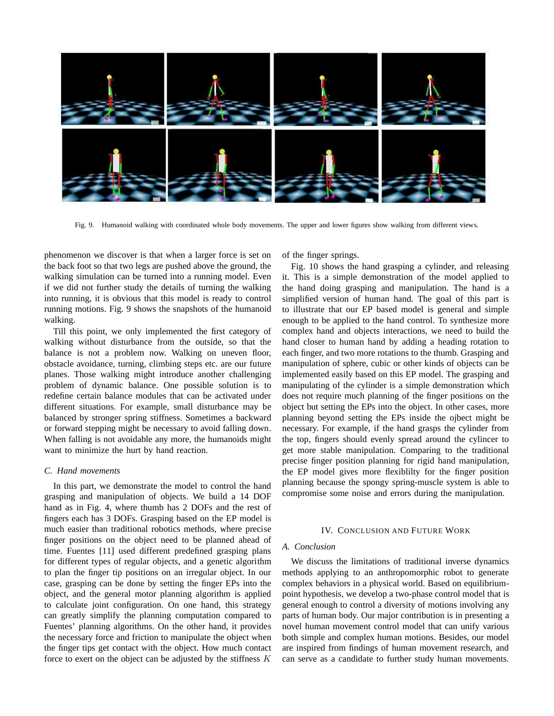

Fig. 9. Humanoid walking with coordinated whole body movements. The upper and lower figures show walking from different views.

phenomenon we discover is that when a larger force is set on the back foot so that two legs are pushed above the ground, the walking simulation can be turned into a running model. Even if we did not further study the details of turning the walking into running, it is obvious that this model is ready to control running motions. Fig. 9 shows the snapshots of the humanoid walking.

Till this point, we only implemented the first category of walking without disturbance from the outside, so that the balance is not a problem now. Walking on uneven floor, obstacle avoidance, turning, climbing steps etc. are our future planes. Those walking might introduce another challenging problem of dynamic balance. One possible solution is to redefine certain balance modules that can be activated under different situations. For example, small disturbance may be balanced by stronger spring stiffness. Sometimes a backward or forward stepping might be necessary to avoid falling down. When falling is not avoidable any more, the humanoids might want to minimize the hurt by hand reaction.

## *C. Hand movements*

In this part, we demonstrate the model to control the hand grasping and manipulation of objects. We build a 14 DOF hand as in Fig. 4, where thumb has 2 DOFs and the rest of fingers each has 3 DOFs. Grasping based on the EP model is much easier than traditional robotics methods, where precise finger positions on the object need to be planned ahead of time. Fuentes [11] used different predefined grasping plans for different types of regular objects, and a genetic algorithm to plan the finger tip positions on an irregular object. In our case, grasping can be done by setting the finger EPs into the object, and the general motor planning algorithm is applied to calculate joint configuration. On one hand, this strategy can greatly simplify the planning computation compared to Fuentes' planning algorithms. On the other hand, it provides the necessary force and friction to manipulate the object when the finger tips get contact with the object. How much contact force to exert on the object can be adjusted by the stiffness  $K$ 

of the finger springs.

Fig. 10 shows the hand grasping a cylinder, and releasing it. This is a simple demonstration of the model applied to the hand doing grasping and manipulation. The hand is a simplified version of human hand. The goal of this part is to illustrate that our EP based model is general and simple enough to be applied to the hand control. To synthesize more complex hand and objects interactions, we need to build the hand closer to human hand by adding a heading rotation to each finger, and two more rotations to the thumb. Grasping and manipulation of sphere, cubic or other kinds of objects can be implemented easily based on this EP model. The grasping and manipulating of the cylinder is a simple demonstration which does not require much planning of the finger positions on the object but setting the EPs into the object. In other cases, more planning beyond setting the EPs inside the ojbect might be necessary. For example, if the hand grasps the cylinder from the top, fingers should evenly spread around the cylincer to get more stable manipulation. Comparing to the traditional precise finger position planning for rigid hand manipulation, the EP model gives more flexiblilty for the finger position planning because the spongy spring-muscle system is able to compromise some noise and errors during the manipulation.

## IV. CONCLUSION AND FUTURE WORK

## *A. Conclusion*

We discuss the limitations of traditional inverse dynamics methods applying to an anthropomorphic robot to generate complex behaviors in a physical world. Based on equilibriumpoint hypothesis, we develop a two-phase control model that is general enough to control a diversity of motions involving any parts of human body. Our major contribution is in presenting a novel human movement control model that can unify various both simple and complex human motions. Besides, our model are inspired from findings of human movement research, and can serve as a candidate to further study human movements.